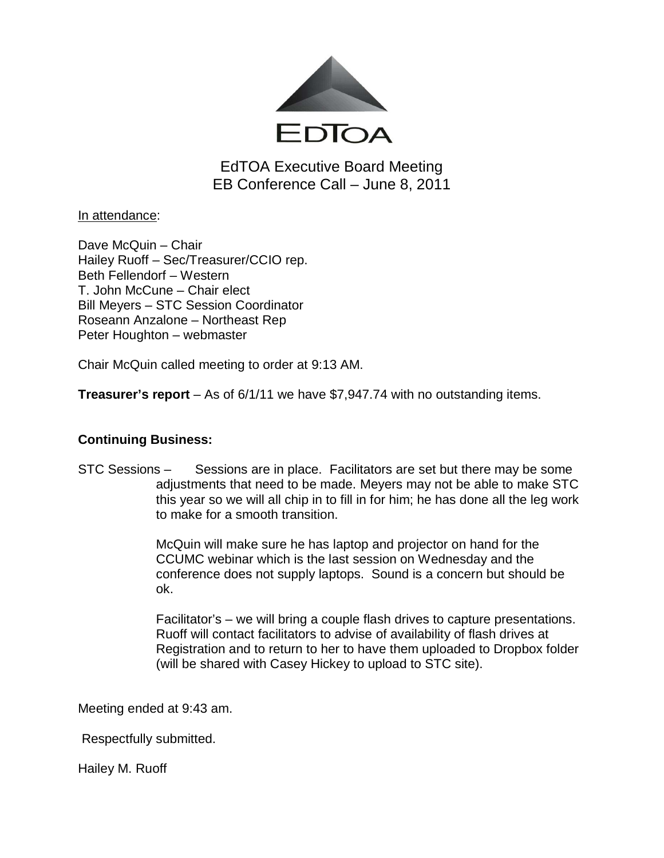

EdTOA Executive Board Meeting EB Conference Call – June 8, 2011

In attendance:

Dave McQuin – Chair Hailey Ruoff – Sec/Treasurer/CCIO rep. Beth Fellendorf – Western T. John McCune – Chair elect Bill Meyers – STC Session Coordinator Roseann Anzalone – Northeast Rep Peter Houghton – webmaster

Chair McQuin called meeting to order at 9:13 AM.

**Treasurer's report** – As of 6/1/11 we have \$7,947.74 with no outstanding items.

## **Continuing Business:**

STC Sessions – Sessions are in place. Facilitators are set but there may be some adjustments that need to be made. Meyers may not be able to make STC this year so we will all chip in to fill in for him; he has done all the leg work to make for a smooth transition.

> McQuin will make sure he has laptop and projector on hand for the CCUMC webinar which is the last session on Wednesday and the conference does not supply laptops. Sound is a concern but should be ok.

Facilitator's – we will bring a couple flash drives to capture presentations. Ruoff will contact facilitators to advise of availability of flash drives at Registration and to return to her to have them uploaded to Dropbox folder (will be shared with Casey Hickey to upload to STC site).

Meeting ended at 9:43 am.

Respectfully submitted.

Hailey M. Ruoff